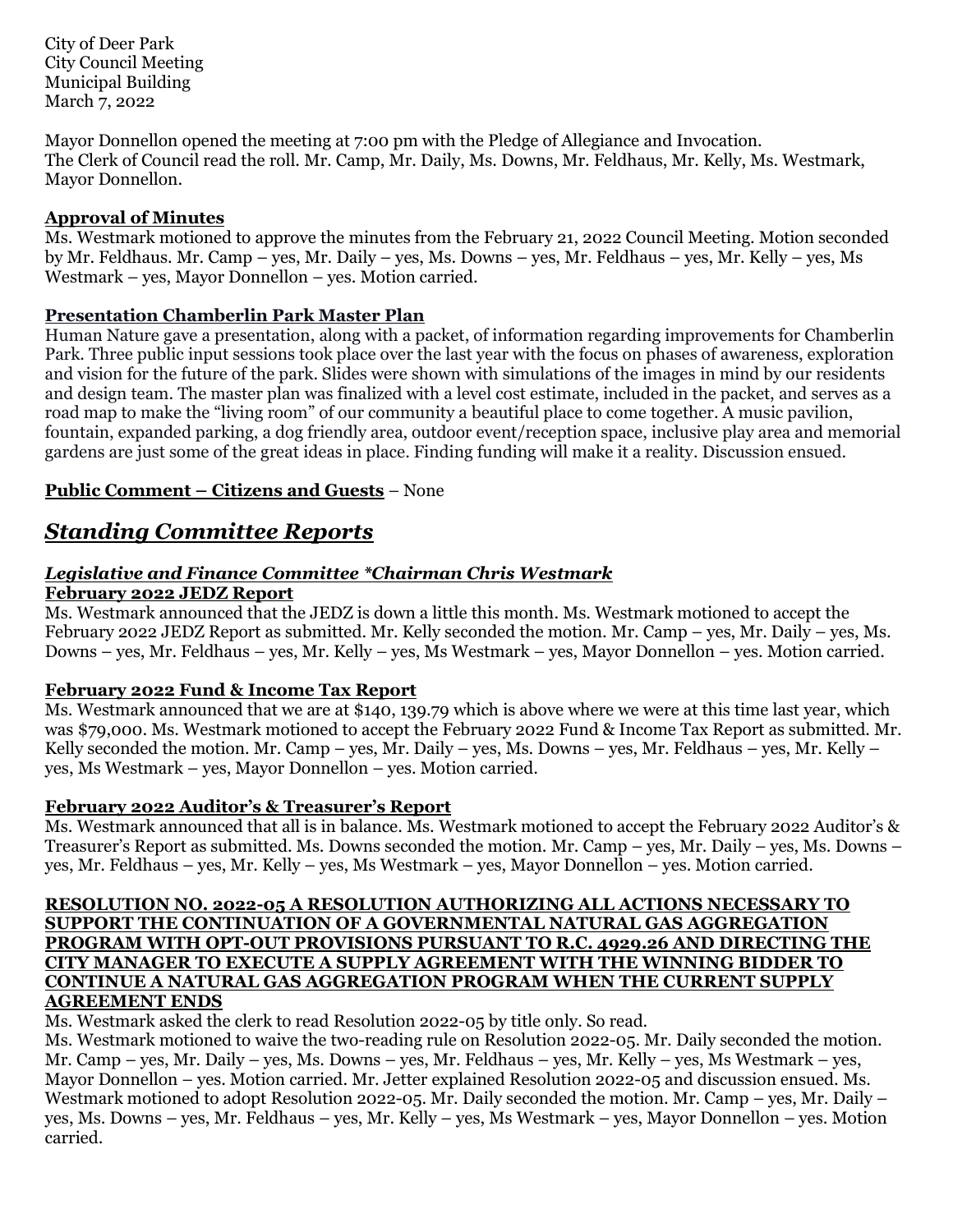City of Deer Park City Council Meeting Municipal Building March 7, 2022

Mayor Donnellon opened the meeting at 7:00 pm with the Pledge of Allegiance and Invocation. The Clerk of Council read the roll. Mr. Camp, Mr. Daily, Ms. Downs, Mr. Feldhaus, Mr. Kelly, Ms. Westmark, Mayor Donnellon.

#### **Approval of Minutes**

Ms. Westmark motioned to approve the minutes from the February 21, 2022 Council Meeting. Motion seconded by Mr. Feldhaus. Mr. Camp – yes, Mr. Daily – yes, Ms. Downs – yes, Mr. Feldhaus – yes, Mr. Kelly – yes, Ms Westmark – yes, Mayor Donnellon – yes. Motion carried.

#### **Presentation Chamberlin Park Master Plan**

Human Nature gave a presentation, along with a packet, of information regarding improvements for Chamberlin Park. Three public input sessions took place over the last year with the focus on phases of awareness, exploration and vision for the future of the park. Slides were shown with simulations of the images in mind by our residents and design team. The master plan was finalized with a level cost estimate, included in the packet, and serves as a road map to make the "living room" of our community a beautiful place to come together. A music pavilion, fountain, expanded parking, a dog friendly area, outdoor event/reception space, inclusive play area and memorial gardens are just some of the great ideas in place. Finding funding will make it a reality. Discussion ensued.

### **Public Comment – Citizens and Guests** – None

## *Standing Committee Reports*

# *Legislative and Finance Committee \*Chairman Chris Westmark*

**February 2022 JEDZ Report**

Ms. Westmark announced that the JEDZ is down a little this month. Ms. Westmark motioned to accept the February 2022 JEDZ Report as submitted. Mr. Kelly seconded the motion. Mr. Camp – yes, Mr. Daily – yes, Ms. Downs – yes, Mr. Feldhaus – yes, Mr. Kelly – yes, Ms Westmark – yes, Mayor Donnellon – yes. Motion carried.

#### **February 2022 Fund & Income Tax Report**

Ms. Westmark announced that we are at \$140, 139.79 which is above where we were at this time last year, which was \$79,000. Ms. Westmark motioned to accept the February 2022 Fund & Income Tax Report as submitted. Mr. Kelly seconded the motion. Mr. Camp – yes, Mr. Daily – yes, Ms. Downs – yes, Mr. Feldhaus – yes, Mr. Kelly – yes, Ms Westmark – yes, Mayor Donnellon – yes. Motion carried.

#### **February 2022 Auditor's & Treasurer's Report**

Ms. Westmark announced that all is in balance. Ms. Westmark motioned to accept the February 2022 Auditor's & Treasurer's Report as submitted. Ms. Downs seconded the motion. Mr. Camp – yes, Mr. Daily – yes, Ms. Downs – yes, Mr. Feldhaus – yes, Mr. Kelly – yes, Ms Westmark – yes, Mayor Donnellon – yes. Motion carried.

#### **RESOLUTION NO. 2022-05 A RESOLUTION AUTHORIZING ALL ACTIONS NECESSARY TO SUPPORT THE CONTINUATION OF A GOVERNMENTAL NATURAL GAS AGGREGATION PROGRAM WITH OPT-OUT PROVISIONS PURSUANT TO R.C. 4929.26 AND DIRECTING THE CITY MANAGER TO EXECUTE A SUPPLY AGREEMENT WITH THE WINNING BIDDER TO CONTINUE A NATURAL GAS AGGREGATION PROGRAM WHEN THE CURRENT SUPPLY AGREEMENT ENDS**

Ms. Westmark asked the clerk to read Resolution 2022-05 by title only. So read.

Ms. Westmark motioned to waive the two-reading rule on Resolution 2022-05. Mr. Daily seconded the motion. Mr. Camp – yes, Mr. Daily – yes, Ms. Downs – yes, Mr. Feldhaus – yes, Mr. Kelly – yes, Ms Westmark – yes, Mayor Donnellon – yes. Motion carried. Mr. Jetter explained Resolution 2022-05 and discussion ensued. Ms. Westmark motioned to adopt Resolution 2022-05. Mr. Daily seconded the motion. Mr. Camp – yes, Mr. Daily – yes, Ms. Downs – yes, Mr. Feldhaus – yes, Mr. Kelly – yes, Ms Westmark – yes, Mayor Donnellon – yes. Motion carried.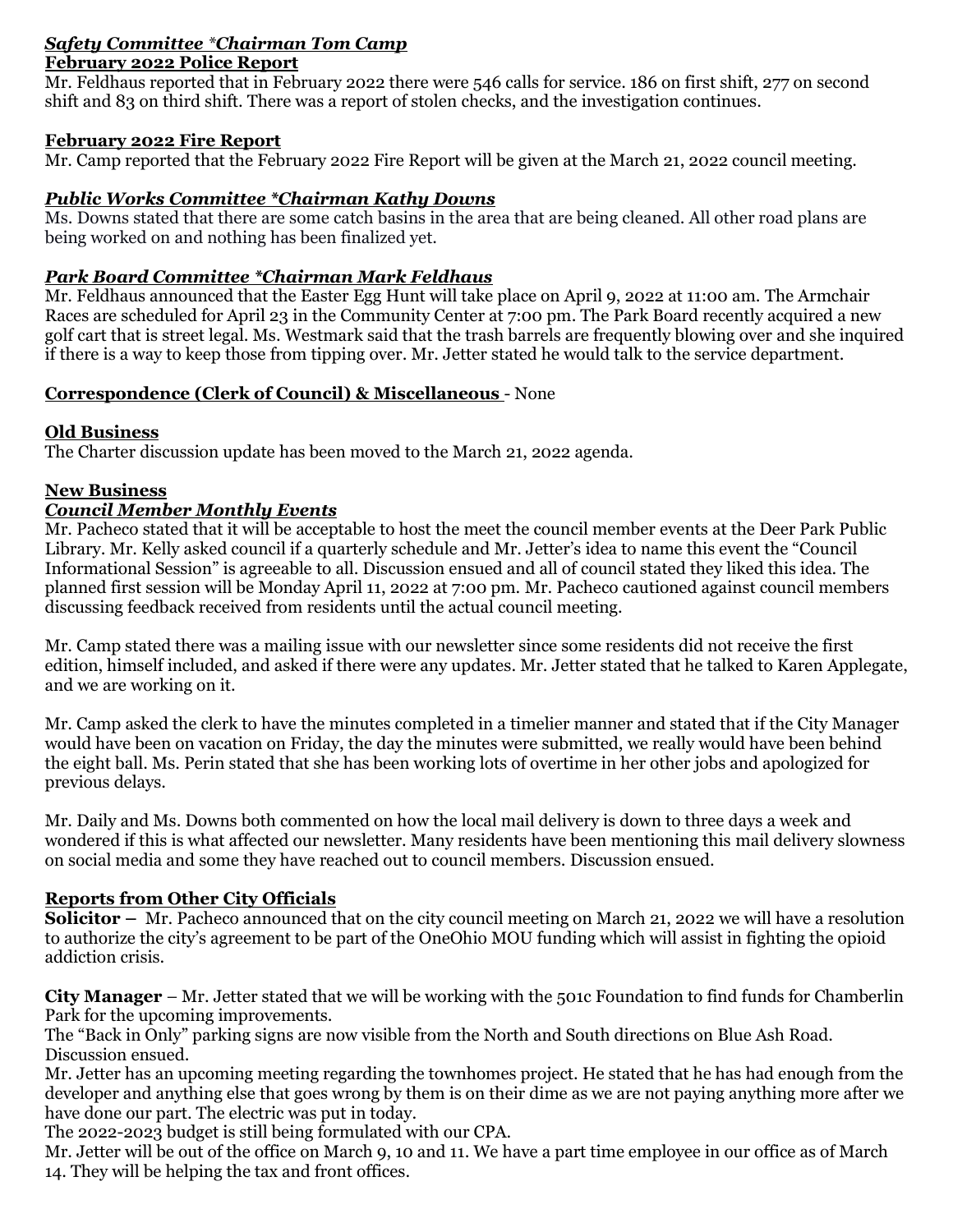#### *Safety Committee \*Chairman Tom Camp*  **February 2022 Police Report**

Mr. Feldhaus reported that in February 2022 there were 546 calls for service. 186 on first shift, 277 on second shift and 83 on third shift. There was a report of stolen checks, and the investigation continues.

#### **February 2022 Fire Report**

Mr. Camp reported that the February 2022 Fire Report will be given at the March 21, 2022 council meeting.

### *Public Works Committee \*Chairman Kathy Downs*

Ms. Downs stated that there are some catch basins in the area that are being cleaned. All other road plans are being worked on and nothing has been finalized yet.

## *Park Board Committee \*Chairman Mark Feldhaus*

Mr. Feldhaus announced that the Easter Egg Hunt will take place on April 9, 2022 at 11:00 am. The Armchair Races are scheduled for April 23 in the Community Center at 7:00 pm. The Park Board recently acquired a new golf cart that is street legal. Ms. Westmark said that the trash barrels are frequently blowing over and she inquired if there is a way to keep those from tipping over. Mr. Jetter stated he would talk to the service department.

#### **Correspondence (Clerk of Council) & Miscellaneous** - None

#### **Old Business**

The Charter discussion update has been moved to the March 21, 2022 agenda.

## **New Business**

#### *Council Member Monthly Events*

Mr. Pacheco stated that it will be acceptable to host the meet the council member events at the Deer Park Public Library. Mr. Kelly asked council if a quarterly schedule and Mr. Jetter's idea to name this event the "Council Informational Session" is agreeable to all. Discussion ensued and all of council stated they liked this idea. The planned first session will be Monday April 11, 2022 at 7:00 pm. Mr. Pacheco cautioned against council members discussing feedback received from residents until the actual council meeting.

Mr. Camp stated there was a mailing issue with our newsletter since some residents did not receive the first edition, himself included, and asked if there were any updates. Mr. Jetter stated that he talked to Karen Applegate, and we are working on it.

Mr. Camp asked the clerk to have the minutes completed in a timelier manner and stated that if the City Manager would have been on vacation on Friday, the day the minutes were submitted, we really would have been behind the eight ball. Ms. Perin stated that she has been working lots of overtime in her other jobs and apologized for previous delays.

Mr. Daily and Ms. Downs both commented on how the local mail delivery is down to three days a week and wondered if this is what affected our newsletter. Many residents have been mentioning this mail delivery slowness on social media and some they have reached out to council members. Discussion ensued.

## **Reports from Other City Officials**

**Solicitor** – Mr. Pacheco announced that on the city council meeting on March 21, 2022 we will have a resolution to authorize the city's agreement to be part of the OneOhio MOU funding which will assist in fighting the opioid addiction crisis.

**City Manager** – Mr. Jetter stated that we will be working with the 501c Foundation to find funds for Chamberlin Park for the upcoming improvements.

The "Back in Only" parking signs are now visible from the North and South directions on Blue Ash Road. Discussion ensued.

Mr. Jetter has an upcoming meeting regarding the townhomes project. He stated that he has had enough from the developer and anything else that goes wrong by them is on their dime as we are not paying anything more after we have done our part. The electric was put in today.

The 2022-2023 budget is still being formulated with our CPA.

Mr. Jetter will be out of the office on March 9, 10 and 11. We have a part time employee in our office as of March 14. They will be helping the tax and front offices.